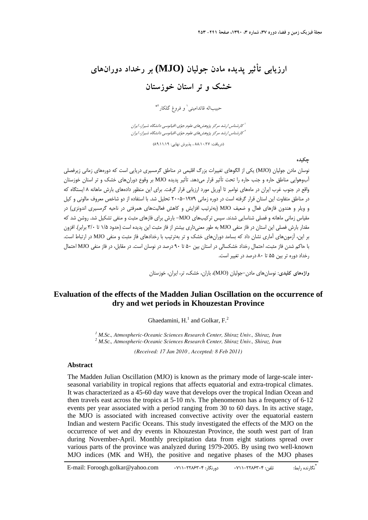# **ارزيابي تأثير پديده مادن جوليان (MJO (بر رخداد دورانهاي خشك و تر استان خوزستان**

حبيباله قائداميني ٰ و فروغ گلكار <sup>٢</sup>\*

ا<br>كارشناس ارشد مركز پژوهش هاي علوم جوّي-اقيانوسي دانشگاه شيراز، ايران ا كارشناس ارشد مركز پژوهش هاي علوم جوّي-اقيانوسي دانشگاه شيراز، ايران

(دريافت: 88/10/27 ، پذيرش نهايي: 89/11/19)

**چكيده** 

نوسان مادن جوليان (MJO (يكي از الگوهاي تغييرات بزرگ اقليمي در مناطق گرمسيري دريايي است كه دورههاي زماني زيرفصلي آبوهوايي مناطق حاره و جنب حاره را تحت تأثير قرار ميدهد. تأثير پديده MJO بر وقوع دورانهاي خشك و تر استان خوزستان واقع در جنوب غرب ايران در ماههاي نوامبر تا آوريل مورد ارزيابي قرار گرفت. براي اين منظور دادههاي بارش ماهانه 8 ايستگاه كه در مناطق متفاوت اين استان قرار گرفته است در دوره زماني 2005-1979 تحليل شد. با استفاده از دو شاخص معروف مالوني و كيل و ويلر و هندون فازهاي فعال و ضعيف MJO) بهترتيب افزايش و كاهش فعاليتهاي همرفتي در ناحيه گرمسيري اندونزي) در مقياس زماني ماهانه و فصلي شناسايي شدند. سپس تركيبهاي MJO- بارش براي فازهاي مثبت و منفي تشكيل شد. روشن شد كه مقدار بارش فصلي اين استان در فاز منفي MJO به طور معنيداري بيشتر از فاز مثبت اين پديده است (حدود 1/5 تا 3/0 برابر). افزون بر اين، آزمونهاي آماري نشان داد كه بسامد دورانهاي خشك و تر بهترتيب با رخدادهاي فاز مثبت و منفي MJO در ارتباط است. با حاكم شدن فاز مثبت، احتمال رخداد خشكسالي در استان بين 50 تا 90 درصد در نوسان است. در مقابل، در فاز منفي MJO احتمال رخداد دوره تر بين 55 تا 80 درصد در تغيير است.

**واژههاي كليدي:** نوسانهاي مادن-جوليان (MJO(، باران، خشك، تر، ايران، خوزستان

## **Evaluation of the effects of the Madden Julian Oscillation on the occurrence of dry and wet periods in Khouzestan Province**

Ghaedamini,  $H<sup>1</sup>$  and Golkar,  $F<sup>2</sup>$ .

*<sup>1</sup> M.Sc., Atmospheric-Oceanic Sciences Research Center, Shiraz Univ., Shiraz, Iran 2 M.Sc., Atmospheric-Oceanic Sciences Research Center, Shiraz Univ., Shiraz, Iran* 

*(Received: 17 Jan 2010 , Accepted: 8 Feb 2011)* 

#### **Abstract**

The Madden Julian Oscillation (MJO) is known as the primary mode of large-scale interseasonal variability in tropical regions that affects equatorial and extra-tropical climates. It was characterized as a 45-60 day wave that develops over the tropical Indian Ocean and then travels east across the tropics at 5-10 m/s. The phenomenon has a frequency of 6-12 events per year associated with a period ranging from 30 to 60 days. In its active stage, the MJO is associated with increased convective activity over the equatorial eastern Indian and western Pacific Oceans. This study investigated the effects of the MJO on the occurrence of wet and dry events in Khouzestan Province, the south west part of Iran during November-April. Monthly precipitation data from eight stations spread over various parts of the province was analyzed during 1979-2005. By using two well-known MJO indices (MK and WH), the positive and negative phases of the MJO phases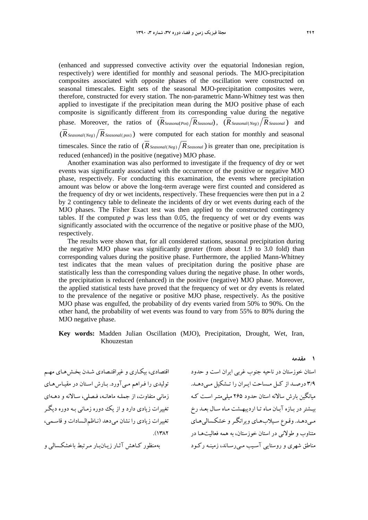(enhanced and suppressed convective activity over the equatorial Indonesian region, respectively) were identified for monthly and seasonal periods. The MJO-precipitation composites associated with opposite phases of the oscillation were constructed on seasonal timescales. Eight sets of the seasonal MJO-precipitation composites were, therefore, constructed for every station. The non-parametric Mann-Whitney test was then applied to investigate if the precipitation mean during the MJO positive phase of each composite is significantly different from its corresponding value during the negative phase. Moreover, the ratios of  $(R_{SeasondPos}/R_{Seasonal})$ ,  $(R_{Seasonal(Neg)}/R_{Seasonal})$  and  $(\overline{R}_{Seadonal(Neg)})$   $\overline{R}_{Seadonal(DOS)}$  were computed for each station for monthly and seasonal timescales. Since the ratio of  $(R_{Seasonal(Neg)})$  *R*<sub>Seasonal</sub>) is greater than one, precipitation is reduced (enhanced) in the positive (negative) MJO phase.

Another examination was also performed to investigate if the frequency of dry or wet events was significantly associated with the occurrence of the positive or negative MJO phase, respectively. For conducting this examination, the events where precipitation amount was below or above the long-term average were first counted and considered as the frequency of dry or wet incidents, respectively. These frequencies were then put in a 2 by 2 contingency table to delineate the incidents of dry or wet events during each of the MJO phases. The Fisher Exact test was then applied to the constructed contingency tables. If the computed  $p$  was less than 0.05, the frequency of wet or dry events was significantly associated with the occurrence of the negative or positive phase of the MJO, respectively.

The results were shown that, for all considered stations, seasonal precipitation during the negative MJO phase was significantly greater (from about 1.9 to 3.0 fold) than corresponding values during the positive phase. Furthermore, the applied Mann-Whitney test indicates that the mean values of precipitation during the positive phase are statistically less than the corresponding values during the negative phase. In other words, the precipitation is reduced (enhanced) in the positive (negative) MJO phase. Moreover, the applied statistical tests have proved that the frequency of wet or dry events is related to the prevalence of the negative or positive MJO phase, respectively. As the positive MJO phase was engulfed, the probability of dry events varied from 50% to 90%. On the other hand, the probability of wet events was found to vary from 55% to 80% during the MJO negative phase.

#### **Key words:** Madden Julian Oscillation (MJO), Precipitation, Drought, Wet, Iran, Khouzestan

اقتصادي، بيكـاري و غيراقتـصادي شـدن بخـش هـاي مهـم توليدي را فـراهم مـي آورد. بـارش اسـتان در مقيـاس هـاي زماني متفاوت، از جملـه ماهانـه ، فـصلي، سـالانه و دهـه اي تغييرات زيادي دارد و از يك دوره زمـاني بـه دوره ديگـر تغييرات زيادي را نشان مي دهد (نـاظمالـسادات و قاسـمي،  $.$ (1۳ $\Lambda$ ۲

بهمنظور كـاهش آثـار زيـانبـار مـرتبط باخشكـسالي و

استان خوزستان در ناحيه جنوب غربي ايران است و حدود 3/9 درصــد از كــل مــساحت ايــران را تــشكيل مــيدهــد. ميانگين بارش سالانه استان حدود 265 ميليمتـراسـت كـه بيـشتردر بـازه آبـان مـاه تـا ارديبهـشت مـاه سـال بعـد رخ مـيدهـد. وقـوع سـيلابهـاي ويرانگـرو خشكـساليهـاي متناوب و طولاني در استان خوزستان، به همه فعاليتهـا در مناطق شهري و روستايي آسـيب مـيرسـاند، زمينـه ركـود

**1 مقدمه**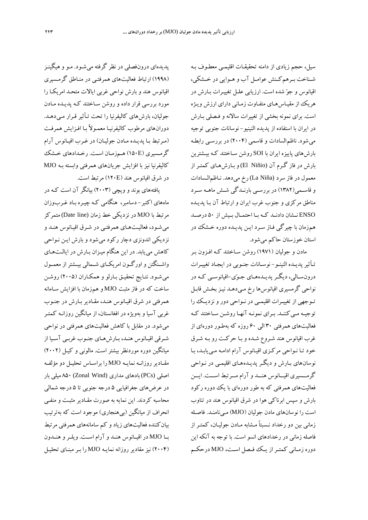سيل، حجم زيادي از دامنه تحقيقـات اقليمـي معطـوف بـه شــناخت بــرهمكــنش عوامــل آب و هــوايي در خــشكي، اقيانوس و جو شده است. ارزيابي علـل تغييـرات بـارش در هريك از مقيـاسهـاي متفـاوت زمـاني داراي ارزش ويـژه است. براي نمونه بخشي از تغييرات سالانه و فـصلي بـارش در ايران با استفاده از پديده النينيو - نوسانات جنوبي توجيه ميشود. ناظمالسادات و قاسمي (2004) در بررسـي رابطـه بارشهاي پاييزه ايران با SOI روشن سـاختند كـه بيـشترين بارش در فاز گـرم آن (Niñio El (و بـارشهـاي كمتـراز معمول در فاز سرد (Niña La (رخ ميدهد. نـاظمالـسادات و قاســمي(1382) در بررســي بارنــدگي شــش ماهــه ســرد مناطق مركزي و جنوب غرب ايران و ارتباط آن بـا پديـده ENSO نــشان دادنــد كــه بــا احتمــال بــيش از 50 درصــد هم زمان با چيرگي فـاز سـرد ايـن پديـده دوره خـشك در استان خوزستان حاكم ميشود.

مادن و جوليان (1971) روشن سـاختند كـه افـزون بـر تـأثيرپديـده النينـو- نوسـانات جنـوبي در ايجـاد تغييـرات درونسـالي، ديگـرپديـدههـاي جـوي-اقيانوسـي كـه در نواحي گرمسيري اقيانوسها رخ مـيدهـد نيـزبخـش قابـل تـوجهي از تغييـرات اقليمـي در نـواحي دور ونزديــك را توجيـه مـيكننـد. بـراي نمونـه آنهـا روشـن سـاختند كـه فعاليتهاي همرفتي 30 الي 60 روزه كه بهطـور دورهاي از غرب اقيانوس هند شـروع شـده و بـا حركـت رو بـه شـرق خود تـا نـواحي مركـزي اقيـانوس آرام ادامـه مـي يابـد، بـا نوسانهاي بـارش و ديگـر پديـده هـاي اقليمـي در نـواحي گرمـــسيري اقيـــانوس هنـــد و آرام مـــرتبط اســـت. ايـــن فعاليتهاي همرفتي كه به طور دوره اي با يك دوره ركود بارش و سپس ابرناكي هوا در شرق اقيانوس هند در تناوب است را نوسانهاي مادن جوليان (MJO (مـينامنـد. فاصـله زماني بين دو رخداد نـسبتاً مـشابه مـادن جوليـان ، كمتـر از فاصله زماني در رخدادهاي انسو است. با توجه به آنكه اين دوره زمــاني كمتــراز يــك فــصل اســت، MJO درحكــم

پديدهاي درونفصلي در نظر گرفته ميشـود. مـو و هيگينـز (1998) ارتباط فعاليتهاي همرفتـي در منـاطق گرمـسيري اقيانوس هند و بارش نواحي غربي ايالات متحـد امريكـا را مورد بررسي قرار داده و روشن سـاختند كـه پديـده مـادن جوليان، بارشهاي كاليفرنيا را تحت تـأثير قـرار مـي دهـد. دورانهاي مرطوب كاليفرنيـا معمـولاً بـا افـزايش همرفـت (مـرتبط بـا پديـده مـادن جوليـان) در غـرب اقيـانوس آرام گرمـسيري (E150 (هـمزمـان اسـت. رخـدادهاي خـشك كاليفرنيا نيز با افزايش جريان هاي همرفتي وابسته بـه MJO در شرق اقيانوس هند (E120 (مرتبط است.

يافتههاي بوند و ويچي (2003) بيانگر آن است كـه در ماههاي اكتبر- دسامبر، هنگامي كـه چيـره بـاد غـرب وزان مرتبط با MJO در نزديكي خط زمان (line Date (متمركز ميشـود، فعاليـتهـاي همرفتـي در شـرق اقيـانوس هنـد و نزديكي اندونزي دچار ركود ميشود و بارش ايـن نـواحي كاهش مي يابد. در اين هنگام ميـزان بـارش در ايالـتهـاي واشــنگتن واورگــون امريكــاي شــمالي بيــشتراز معمــول ميشـود. نتـايج تحقيـق بـارلو و همكـاران (2005) روشـن ساخت كه در فاز مثبت MJO و هم زمان با افزايش سـامانه همرفتي در شرق اقيـانوس هنـد ، مقـادير بـارش در جنـوب غربي آسيا و بهويژه در افغانستان، از ميانگين روزانـه كمتـر ميشود. در مقابل با كاهش فعاليتهاي همرفتي در نواحي شـرقي اقيـانوس هنـد، بـارشهـاي جنـوب غربـي آسـيا از ميانگين دوره موردنظر بيشتر است. مالوني و كيـل (2002) مقـاديرروزانـه نمايـه MJO را براسـاس تحليـل دو مؤلفـه اصلي (PCs (بادهاي مداري (Wind Zonal (850 ميلي بار در عرضهاي جغرافيايي 5 درجه جنوبي تا 5 درجه شمالي محاسبه كردند. اين نمايه به صورت مقـادير مثبـت و منفـي انحراف از ميانگين (بيهنجاري) موجود است كه بهترتيب بيانكننده فعاليتهاي زياد و كم سامانههاي همرفتي مرتبط بــا MJO در اقيــانوس هنــد و آرام اســت. ويلــرو هنــدون (2004) نيز مقادير روزانه نمايـه MJO را بـر مبنـاي تحليـل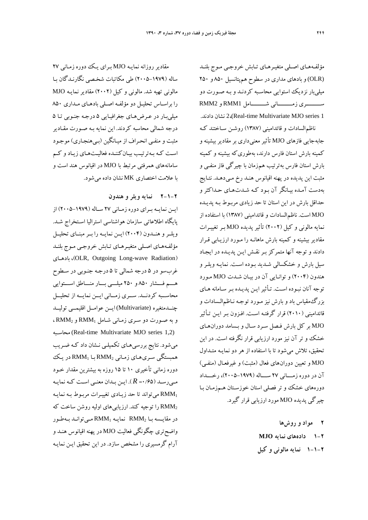مقادير روزانه نمايـه MJO بـراي يـك دوره زمـاني 27 ساله (2005-1979) طي مكاتبات شخـصي نگارنـدگان بـا مالوني تهيه شد. مالوني و كيل (2002) مقادير نمايـه MJO را براسـاس تحليـل دو مؤلفـه اصـلي بادهـاي مـداري 850 ميليبـار در عـرض هـاي جغرافيـايي 5 درجـه جنـوبي تـا 5 درجه شمالي محاسبه كردند. اين نمايه بـه صـورت مقـادير مثبت و منفـي انحـراف از ميـانگين (بـيهنجـاري) موجـود اسـت كـه بـهترتيـب بيـانكننـده فعاليـتهـاي زيـاد و كـم سامانههاي همرفتي مرتبط با MJO در اقيانوس هند است و با علامت اختصاري MK نشان داده ميشود.

**2-1-2 نمايه ويلر و هندون** 

ايــن نمايــه بــراي دوره زمــاني 27 ســاله (2005-1979) از پايگاه اطلاعاتي سازمان هواشناسي استراليا اسـتخراج شـد. ويلــرو هنــدون (2004) ايــن نمايــه را بــرمبنــاي تحليــل مؤلفـههـاي اصـلي متغيـرهـاي تـابش خروجـي مـوج بلنـد بادهـاي ،)OLR, Outgoing Long-wave Radiation) غربسو در 5 درجه شمالي تا 5 درجـه جنـوبي در سـطوح هـــم فـــشار 850 و 250 ميلـــي بـــار منـــاطق اســـتوايي محاســبه كردنــد. ســري زمــاني ايــن نمايــه از تحليــل چنــدمتغيره (Multivariate (ايــن عوامــل اقليمــي توليــد و به صـورت دو سـري زمـاني شـامل 1RMM و 2RMM ، محاسـبه) Real-time Multivariate MJO series 1,2) ميشود. نتايج بررسيهـاي تكميلـي نـشان داد كـه ضـريب همبستگي سـريهـاي زمـاني 2RMM بـا 1RMM در يـك دوره زماني تأخيري ١٠ تا ١۵ روزه به بيشترين مقدار خـود مـيرسـد (0/65= *R*( . ايـن بـدان معنـي اسـت كـه نمايـه 1RMM ميتواند تا حد زيـادي تغييـرات مربـوط بـه نمايـه را توجيه كند. ارزيابي هاي اوليه روشن ساخت كه RMM در مقايـسه بـا 2RMM نمايـه 1RMM مـيتوانـد بـهطـور واضحتري چگونگي فعاليت MJO در پهنه اقيانوس هنـد و آرام گرمسيري را مشخص سازد . در اين تحقيق ايـن نمايـه

مؤلفـههـاي اصـلي متغيـرهـاي تـابش خروجـي مـوج بلنـد (OLR (و بادهاي مداري در سطوح همپتانسيل 850 و 250 ميليبار نزديك استوايي محاسـبه كردنـد و بـه صـورت دو ســـــــــري زمـــــــــاني شـــــــــامل 1RMM و 2RMM .دادند نشان 2،)Real-time Multivariate MJO series 1 ناظمالسادات و قائداميني (1387) روشـن سـاختند كـه جابهجايي فازهاي MJO تأثير معنيداري بر مقادير بيشينه و كمينه بارش استان فارس دا رند، بهطوريكه بيشينه و كمينه بارش استان فارس بهترتيب هم زمان با چيرگي فاز منفـي و مثبت اين پديده در پهنه اقيانوس هنـد رخ مـيدهـد. نتـايج بهدست آمـده بيـانگر آن بـود كـه شـدت هـاي حـداكثر و حداقل بارش در اين استان تا حد زيادي مربـوط بـه پديـده MJO است. ناظمالسادات و قائداميني (1387) با استفاده از نمايه مالوني و كيل (2002) تأثير پديده MJO بـر تغييـرات مقادير بيشينه و كمينه بارش ماهانـه را مـورد ارزيـابي قـرار دادند و توجه آنها متمركز بـر نقـش ايـن پديـده در ايجـاد سيل بارش و خشكسالي شـديد بـوده اسـت . نمايـه ويلـر و هندون (2004) و توانـايي آن در بيـان شـدت MJO مـورد توجه آنان نبـوده اسـت . تـأثيرايـن پديـده بـر سـامانه هـاي بزرگمقياس باد و بارش نيز مـورد توجـه نـاظمالـسادات و قائداميني (2010) قرار گرفتـه اسـت. افـزون بـر ايـن تـأثير MJO بر كل بارش فـصل سـرد سـال و بـسامد دورانهـاي خشك و تر آن نيز مورد ارزيابي قرار نگرفته است . در اين تحقيق، تلاش ميشود تا با استفاده از هر دونمايـه متـداول MJO و تعيين دورانهاي فعال (مثبت) و غيرفعـال (منفـي) آن در دوره زمــــاني 27 ســــاله (2005-1979)، رخــــداد دورههاي خشك و تر فصلي استان خوزسـتان هـمزمـان بـا چيرگي پديده MJO مورد ارزيابي قرار گيرد.

> **2 مواد و روشها 1-2 دادههاي نمايه MJO 1-1-2 نمايه مالوني و كيل**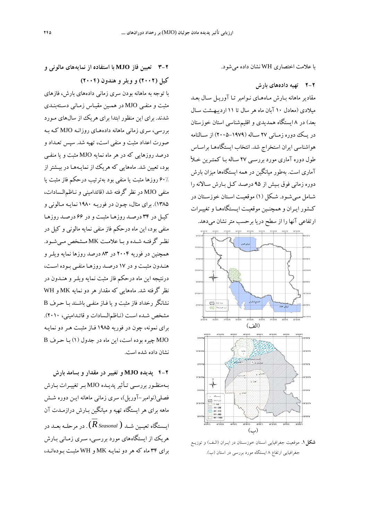با علامت اختصاري WH نشان داده ميشود.

#### **2-2 تهيه دادههاي بارش**

مقادير ماهانه بـارش مـاه هـاي نـوامبر تـا آوريـل سـال بعـد ميلادي (معادل 10 آبان ماه هر سال تا 11 ارديبهـشت سـال بعد) در 8 ايستگاه همديدي و اقليمشناسي استان خوزستان در يــك دوره زمــاني 27 ســاله (2005-1979) از ســالنامه هواشناسي ايران استخراج شد. انتخاب ايستگاههـا براسـاس طول دوره آماري مورد بررسـي 27 سـاله بـا كمتـرين خـلأ آماري است. بهطور ميانگين در همه ايستگاهها ميزان بارش دوره زماني فوق بـيش از 95 درصـد كـل بـارش سـالانه را شـامل مـيشـود. شـكل (1) موقعيـت اسـتان خوزسـتان در كـشور ايـران و همچنـين موقعيـت ايـستگاههـا وتغييـرات ارتفاعي آنها را از سطح دريا برحسب مترنشان ميدهد.



**شكل.1** موقعيت جغرافيايي اسـتان خوزسـتان در ايـران (الـف) و توزيـع جغرافيايي ارتفاع 8 ايستگاه مورد بررسي در استان (ب).

**3-2 تعيين فاز MJO با استفاده از نمايههاي مالوني و كيل (2002) و ويلر و هندون (2004)** 

با توجه به ماهانه بودن سري زماني داده هاي بارش، فازهاي مثبت و منفـي MJO در همـين مقيـاس زمـاني دسـته بنـدي شدند. براي اين منظور ابتدا ب راي هريك از سالهاي مـورد بررسي، سري زماني ماهانه داده هـاي روزانـه MJO كـه بـه صورت اعداد مثبت و منفي است، تهيه شد . سپس تعـداد و درصد روزهايي كه در هر ماه نمايه MJO مثبت و يا منفـي بود، تعيين شد. ماههايي كه هريك از نمايـههـا در بيـشتراز 60% روزها مثبت يا منفي بو د بهترتيب درحكم فاز مثبت يا منفي MJO در نظر گرفته شد (قائداميني و نـاظمالـسادات، 1385). براي مثال، چـون در فوريـه 1980 نمايـه مـالوني و كيـل در 34 درصـد روزهـا مثبـت و در 66 درصـد روزهـا منفي بود، اين ماه درحكم فاز منفي نمايه مالوني و كيل در نظــر گرفتــه شــده وبــا علامــت MK مــشخص مــيشــود. همچنين در فوريه 2004 در 83 درصد روزها نمايه ويلـر و هنـدون مثبـت و در 17 درصـد روزهـا منفـي بـوده اسـت، درنتيجه اين ماه درحكم فاز مثبت نمايه ويلـر و هنـدون در نظر گرفته شد. ماههايي كه مقدار هر دو نمايه MK و WH نشانگر رخداد فاز مثبت و يا فـاز منفـي با شـند بـا حـرف B مشخص شـده اسـت (نـاظمالـسادات و قائـداميني، 2010). براي نمونه، چون در فوريه 1985 فـاز مثبـت هـر دو نمايـه MJO چيره بوده است، اين ماه در جدول (1) بـا حـرف B نشان داده شده است.

**4-2 پديده MJO و تغيير در مقدار و بسامد بارش**  بـهمنظـور بررسـي تـأثيرپديـده MJO بـرتغييـرات بـارش فصلي(نوامبر-آوريل)، سري زماني ماهانه ايـن دوره شـش ماهه براي هر ايستگاه تهيه و ميانگين بـارش دراز مـدت آن ايــستگاه تعيــين شــد ( *RSeasonal*(. در مرحلــه بعــد در هريك از ايستگاههاي مورد بررسـي، سـري زمـاني بـارش براي 34 ماه كه هر دو نمايـه MK و WH مثبـت بـوده انـد،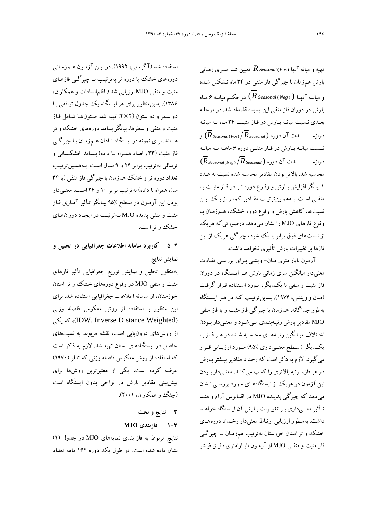تهيه و ميانه آنها (*Pos*(*RSeasonal* تعيين شد. سـري زمـاني بارش هم زمان با چيرگي فاز منفي در 34 ماه تـشكيل شـده و ميانـه آنهـا ( ( *Neg* (*RSeasonal* (درحكـم ميانـه 6 مــاه بارش در دوران فاز منفي اين پديده قلمداد شد . در مرحلـه بعـدي نـسبت ميانـه بـارش در فـاز مثبـت 34 مـاه بـه ميانـه درازمــــــــدت آن دوره ( *RSeasonal*) *Pos*(*RSeasonal* (و نــسبت ميانــه بــارش در فــاز منفــي دوره 6 ماهــه بــه ميانــه درازمــــــــــدت آن دوره ( *RSeasonal*) *Neg*(*RSeasonal*( محاسبه شد. بالاتر بودن مقادير محاسبه شده نسبت به عـدد 1 بيانگر افزايش بـارش و وقـوع دوره تـر در فـاز م ثبـت يـا منفـي اسـت. بـههمـينترتيـب مقـادير كمتـراز يـك ايـن نسبتها، كاهش بارش و وقوع دوره خشك، هـم زمـان بـا وقوع فازهاي MJO را نشان مي دهد. درصورتي كه هريك از نسبتهاي فوق برابر با يك شود، چيرگي هريك از اين فازها برتغييرات بارش تأثيري نخواهد داشت.

آزمون ناپارامتري مـان- ويتنـي بـراي بررسـي تفـاوت معنيدار ميانگين سري زماني بارش هـر ايـستگاه در دوران فاز مثبت و منفي با يكـديگر، مـورد اسـتفاده قـرار گرفـت (مـان وويتنـي، 1974). بـدينترتيـب كـه در هـرايـستگاه بهطور جداگانه، هم زمان با چيرگي فاز مثبت و يا فاز منفي MJO مقادير بارش رتبـهبنـدي مـيشـود و معنـي دار بـودن اخـتلاف ميـانگين رتبـههـاي محاسـبه شـده در هـرفـاز بـا يكــديگر(ســطح معنــيداري 95%) مــورد ارزيــابي قــرار ميگيرد. لازم به ذكر است كه رخداد مقادير بيـشتر بـارش در هر فاز، رتبه بالاتري را كسب مي كنـد. معنـي دار بـودن اين آزمون در هريك از ايستگاههـاي مـورد بررسـي نـشان ميدهد كه چيرگي پديـده MJO در اقيـانوس آرام و هنـد تـأثيرمعنـيداري بـرتغييـرات بـارش آن ايـستگاه خواهـد داشت. بهمنظور ارزيابي ارتباط معنيدار رخـداد دورههـاي خشك و تر استان خوزستان به ترتيب هم زمـان بـا چيرگـي فاز مثبت و منفـي MJO از آزمـون ناپــارامتري دقيـق فيــشر

استفاده شد (آگرستي، 1992). در ايـن آزمـون هـم زمـاني دورههاي خشك يا دوره تر به ترتيـب بـا چيرگـي فازهـاي مثبت و منفي MJO ارزيابي شد (ناظمالسادات و همكاران، 1386). بدينمنظور براي هر ايستگاه يك جدول توافقي بـا دو سطر و دو ستون (2×2) تهيه شد. سـتونهـا شـامل فـاز مثبت و منفي و سطرها، بيانگربسامد دورههاي خشك و تر هستند. براي نمونه در ايستگاه آبادان هـم زمـان بـا چيرگـي فاز مثبت (33 رخداد همـراه بـا داده ) بـسامد خشكـسالي و ترسالي بهترتيب برابر 24 و 9 سـال اسـت . بـههمـينترتيـب تعداد دوره تر و خشك هم زمان با چيرگي فاز منفي (با 34 سال همراه با داده) به ترتيب برابر 10 و 24 اسـت. معنـيدار بودن اين آزمـون در سـطح 95% بيـانگر تـأثير آمـاري فـاز مثبت و منفي پديده MJO بـهترتيـب در ايجـاد دوران هـاي خشك و تراست.

**5-2 كاربرد سامانه اطلاعات جغرافيايي در تحليل و نمايش نتايج**

بهمنظور تحليل و نمايش توزيع جغرافيايي تأثير فازهاي مثبت و منفي MJO در وقوع دورههاي خشك و تر استان خوزستان، از سامانه اطلاعات جغرافيايي استفاده شد. براي اين منظور با استفاده از روش معكوس فاصله وزني يكي كه ،)IDW, Inverse Distance Weighted) از روشهاي درونيابي است، نقشه مربوط به نسبتهاي حاصل در ايستگاههاي استان تهيه شد. لازم به ذكر است كه استفاده از روش معكوس فاصله وزني كه تابلر (1970) عرضه كرده است، يكي از معتبرترين روشها براي پيشبيني مقادير بارش در نواحي بدون ايستگاه است (چنگ و همكاران، ۲۰۰۱).

- **3 نتايج و بحث**
- **1-3 فازبندي MJO**

نتايج مربوط به فاز بندي نمايههاي MJO در جدول (1) نشان داده شده است. در طول يك دوره 162 ماهه تعداد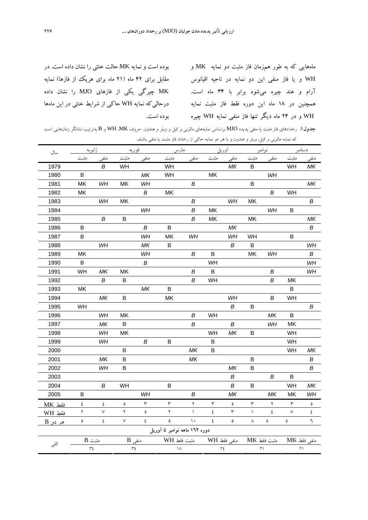ماههايي كه به طور همزمان فاز مثبت دو نمايه MK و WH و يا فاز منفي اين دو نمايه در ناحيه اقيانوس آرام و هند چيره ميشود برابر با 34 ماه است. همچنين در 18 ماه اين دوره فقط فاز مثبت نمايه WH و در 24 ماه ديگر تنها فاز منفي نمايه WH چيره بوده است.

بوده است و نمايه MK حالت خنثي را نشان داده است. در مقابل براي 42 ماه (21 ماه براي هريك از فازها) نمايه MK چيرگي يكي از فازهاي MJO را نشان داده درحاليكه نمايه WH حاكي از شرايط خنثي در اين ماهها

**جدول.1** رخدادهاي فاز مثبت يا منفي پديده MJO براساس نمايههاي مالوني و كيل و ويلر و هندون. حروف MK، WH و B بهترتيب نشانگر زمانهايي است كه نمايه مالوني <sup>و</sup> كيل، ويلر <sup>و</sup> هندون <sup>و</sup> يا هر دو نمايه حاكي از رخداد فاز مثبت يا منفي باشند.

| سال         | ژانوی <u>ه</u>                |                    | فوريه         |                  | مارس                 |                  | آوريل              |                  | نوامبر      |                  | دسامبر               |                  |
|-------------|-------------------------------|--------------------|---------------|------------------|----------------------|------------------|--------------------|------------------|-------------|------------------|----------------------|------------------|
|             | مثبت                          | منفى               | مثبت          | منفى             | مثبت                 | منفي             | مثبت               | منفى             | مثبت        | منفى             | مثبت                 | منفى             |
| 1979        |                               | $\boldsymbol{B}$   | WH            |                  | WH                   |                  |                    | MK               | B           |                  | WH                   | MK               |
| 1980        | B                             |                    |               | MK               | WH                   |                  | MK                 |                  |             | WH               |                      |                  |
| 1981        | MK                            | WH                 | MK            | WH               |                      | B                |                    |                  | B           |                  |                      | MK               |
| 1982        | MK                            |                    |               | $\boldsymbol{B}$ | MK                   |                  |                    |                  |             | В                | WH                   |                  |
| 1983        |                               | WH                 | <b>MK</b>     |                  |                      | B                |                    | WH               | MK          |                  |                      | $\boldsymbol{B}$ |
| 1984        |                               |                    |               | WH               |                      | B                | MK                 |                  |             | WH               | в                    |                  |
| 1985        |                               | $\boldsymbol{B}$   | $\sf B$       |                  |                      | $\boldsymbol{B}$ | MK                 |                  | MK          |                  |                      | MK               |
| 1986        | B                             |                    |               | $\boldsymbol{B}$ | B                    |                  |                    | MK               |             |                  |                      | B                |
| 1987        | B                             |                    |               | WH               | MK                   | WН               |                    | WH               | WH          |                  | Β                    |                  |
| 1988        |                               | WH                 |               | MK               | В                    |                  |                    | $\boldsymbol{B}$ | $\sf B$     |                  |                      | WH               |
| 1989        | MK                            |                    |               | WH               |                      | В                | B                  |                  | MK          | WH               |                      | $\boldsymbol{B}$ |
| 1990        | $\sf B$                       |                    |               | В                |                      |                  | WH                 |                  |             |                  |                      | WH               |
| 1991        | WH                            | MK                 | MK            |                  |                      | B                | B                  |                  |             | $\boldsymbol{B}$ |                      | WH               |
| 1992        |                               | В                  | В             |                  |                      | B                | WH                 |                  |             | B                | МK                   |                  |
| 1993        | MK                            |                    |               | MK               | $\mathsf B$          |                  |                    |                  |             |                  | В                    |                  |
| 1994        |                               | MK                 | B             |                  | MK                   |                  |                    | WH               |             | B                | WH                   |                  |
| 1995        | WH                            |                    |               |                  |                      |                  |                    | B                | B           |                  |                      | B                |
| 1996        |                               | WH                 | MK            |                  |                      | $\boldsymbol{B}$ | WH                 |                  |             | MK               | $\mathsf B$          |                  |
| 1997        |                               | ΜK                 | $\sf B$       |                  |                      | $\boldsymbol{B}$ |                    | $\boldsymbol{B}$ |             | WH               | MK                   |                  |
| 1998        |                               | WH                 | MK            |                  |                      |                  | WH                 | MK               | $\sf B$     |                  | WH                   |                  |
| 1999        |                               | WH                 |               | $\boldsymbol{B}$ | B                    |                  | B                  |                  |             |                  | WH                   |                  |
| 2000        |                               |                    | B             |                  |                      | MK               | B                  |                  |             |                  | WH                   | ΜK               |
| 2001        |                               | MK                 | В             |                  |                      | MK               |                    |                  | B           |                  |                      | В                |
| 2002        |                               | WH                 | B             |                  |                      |                  |                    | MK               | B           |                  |                      | B                |
| 2003        |                               |                    |               |                  |                      |                  |                    | В                |             | $\boldsymbol{B}$ | $\sf B$              |                  |
| 2004        |                               | $\boldsymbol{B}$   | WH            |                  | B                    |                  |                    | B                | B           |                  | WH                   | MK               |
| 2005        | B                             |                    |               | WH               |                      | B                |                    | MK               |             | ΜK               | МK                   | WH               |
| فقط MK      | ٤                             | ٤                  | $\pmb{\circ}$ | ٣                | ٣                    | ٢                | ٣                  | $\pmb{\circ}$    | ٣           | ٢                | $\mathbf{\breve{r}}$ | $\pmb{\circ}$    |
| فقط WH      | ٢                             | $\acute{\text{v}}$ | ٢             | $\pmb{\circ}$    | $\mathbf{\breve{Y}}$ | $\left( \right)$ | ٤                  | ٣                | $\lambda$   | ٤                | $\lor$               | ٤                |
| $B_0$ هر دو | ٥                             | ٤                  | V             | ٤                | $\bullet$            | $\backslash$ .   | ٤                  | $\pmb{\circ}$    | $\wedge$    | $\pmb{\circ}$    | $\mathsf{o}\,$       | ٦                |
|             | دوره ۱٦۲ ماهه نوامبر تا آوريل |                    |               |                  |                      |                  |                    |                  |             |                  |                      |                  |
| کلی         | $B$ مثبت                      |                    | $B$ منفی      |                  | مثبت فقط WH          |                  | <u>منفی فقط WH</u> |                  | مثبت فقط MK |                  | منفى فقط MK          |                  |
|             | ٣٤                            |                    | ٣٤            |                  | ١٨                   |                  | ٢٤                 |                  | ۲۱          |                  | ۲۱                   |                  |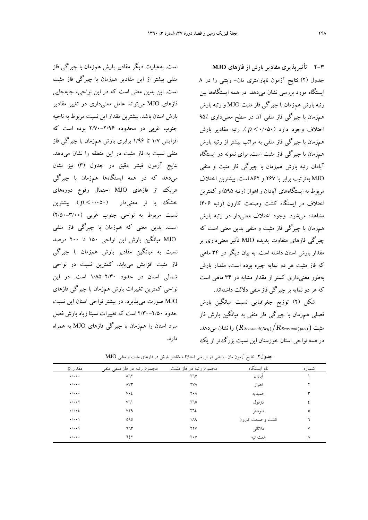است. بهعبارت ديگر مقادير بارش همزمان با چيرگي فاز منفي بيشتر از اين مقادير همزمان با چيرگي فاز مثبت است. اين بدين معني است كه در اين نواحي، جابهجايي فازهاي MJO ميتواند عامل معنيداري در تغيير مقادير بارش استان باشد. بيشترين مقدار اين نسبت مربوط به ناحيه جنوب غربي در محدوده 2/70-2/96 بوده است كه افزايش 1/7 تا 1/96 برابري بارش همزمان با چيرگي فاز منفي نسبت به فاز مثبت در اين منطقه را نشان ميدهد. نتايج آزمون فيشر دقيق در جدول (3) نيز نشان ميدهد كه در همه ايستگاهها همزمان با چيرگي هريك از فازهاي MJO احتمال وقوع دورههاي خشك يا تر معنيدار (0/050 > *p*( . بيشترين نسبت مربوط به نواحي جنوب غربي (2/50-3/00) است. بدين معني كه همزمان با چيرگي فاز منفي MJO ميانگين بارش اين نواحي 150 تا 200 درصد نسبت به ميانگين مقادير بارش همزمان با چيرگي فاز مثبت افزايش مييابد. كمترين نسبت در نواحي شمالي استان در حدود 1/85-2/30 است. در اين نواحي كمترين تغييرات بارش همزمان با چيرگي فازهاي MJO صورت ميپذيرد. در بيشتر نواحي استان اين نسبت حدود 2/30-2/50 است كه تغييرات نسبتا زياد بارش فصل سرد استان را همزمان با چيرگي فازهاي MJO به همراه دارد.

**2-3 تأثيرپذيري مقادير بارش از فازهاي MJO** جدول (2) نتايج آزمون ناپارامتري مان- ويتني را در 8 ايستگاه مورد بررسي نشان ميدهد. در همه ايستگاهها بين رتبه بارش همزمان با چيرگي فاز مثبت MJO و رتبه بارش همزمان با چيرگي فاز منفي آن در سطح معنيداري 95% اختلاف وجود دارد (0/050 > *p*( . رتبه مقادير بارش همزمان با چيرگي فاز منفي به مراتب بيشتر از رتبه بارش همزمان با چيرگي فاز مثبت است. براي نمونه در ايستگاه آبادان رتبه بارش همزمان با چيرگي فاز مثبت و منفي MJO بهترتيب برابر با 267 و 862 است. بيشترين اختلاف مربوط به ايستگاههاي آبادان و اهواز (رتبه 595) و كمترين اختلاف در ايستگاه كشت وصنعت كارون (رتبه 406) مشاهده ميشود. وجود اختلاف معنيدار در رتبه بارش همزمان با چيرگي فاز مثبت و منفي بدين معني است كه چيرگي فازهاي متفاوت پديده MJO تأثير معنيداري بر مقدار بارش استان داشته است. به بيان ديگر در 34 ماهي كه فاز مثبت هر دو نمايه چيره بوده است، مقدار بارش بهطور معنيداري كمتر از مقدار مشابه در 34 ماهي است كه هردو نمايه بر چيرگي فاز منفي دلالت داشتهاند.

شكل (2) توزيع جغرافيايي نسبت ميانگين بارش فصلي همزمان با چيرگي فاز منفي به ميانگين بارش فاز مثبت (  $\overline{R}_{\textit{Seasonal(Neg)}}/\overline{R}_{\textit{Seasonal(pos)}})$  ، ا نشان مي دهد. در همه نواحي استان خوزستان اين نسبت بزرگتر از يك

| مقدار p                    | مجموع رتبه در فاز منفی منفی | مجموع رتبه در فاز مثبت | نام ایستگاه      | شماره |
|----------------------------|-----------------------------|------------------------|------------------|-------|
| $\star/\star\star\star$    | $\lambda$ ٦٢                | $Y$ $V$                | آىادان           |       |
| $\star/\star\star\star$    | $\wedge\vee\Upsilon$        | <b>YVA</b>             | اهواز            | ۲     |
| $\star/\star\star\star$    | $V \cdot \Sigma$            | ۲۰۸                    | حميديه           | ٣     |
| $\cdot/\cdot\cdot\Upsilon$ | $V\mathcal{U}$              | ۲٦٥                    | دزفول            | ٤     |
| $\cdot/\cdot\cdot\}$       | <b>VYA</b>                  | ٢٦٤                    | شوشتر            | ٥     |
| $\cdot/\cdot\cdot$         | 090                         | ۱۸۹                    | کشت و صنعت کارون | ٦     |
| $\cdot$ / $\cdot$ \        | ٦٦٣                         | <b>YYV</b>             | ملاثاني          | ٧     |
| $\star/\star\star\star$    | 727                         | $Y \cdot V$            | هفت تپه          | ٨     |

**جدول.2** نتايج آزمون مان- ويتني در بررسي اختلاف مقادير بارش در فازهاي مثبت <sup>و</sup> منفي MJO.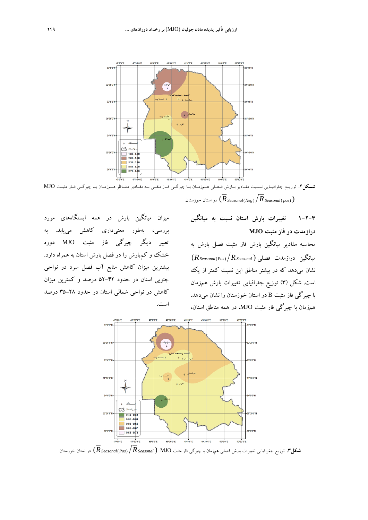

**شــكل.2** توزيــع جغرافيــايي نــسبت مقــادير بــارش فــصلي هــمزمــان بــا چيرگــي فــاز منفــي بــه مقــادير متنــاظر هــمزمــان بــا چيرگــي فــاز مثبــت MJO .خوزستان استان در) *RSeasonal*(*Neg*) *RSeasonal*( *pos*) )

ميزان ميانگين بارش در همه ايستگاههاي مورد بررسي، بهطور معنيداري كاهش مييابد. به تعبير ديگر چيرگي فاز مثبت MJO دوره خشك و كمبارش را در فصل بارش استان به همراه دارد. بيشترين ميزان كاهش منابع آب فصل سرد در نواحي جنوبي استان در حدود 52-42 درصد و كمترين ميزان كاهش در نواحي شمالي استان در حدود 35-28 درصد است.

**1-2-3 تغييرات بارش استان نسبت به ميانگين درازمدت در فاز مثبت MJO** محاسبه مقادير ميانگين بارش فاز مثبت فصل بارش به  $\sqrt{R}_{\textit{Seasonal}(\textit{Pos})}/\overline{R}_{\textit{Seasonal}}$  ميانگين درازمدت فصل<sub>ي</sub> نشان ميدهد كه در بيشتر مناطق اين نسبت كمتر از يك است. شكل (3) توزيع جغرافيايي تغييرات بارش همزمان با چيرگي فاز مثبت B در استان خوزستان را نشان ميدهد. همزمان با چيرگي فار مثبت MJO، در همه مناطق استان،



**شكل.3** توزيع جغرافيايي تغييرات بارش فصلي همزمان با چيرگي فاز مثبت MJO ) *RSeasonal*) *Pos*(*RSeasonal* (در استان خوزستان.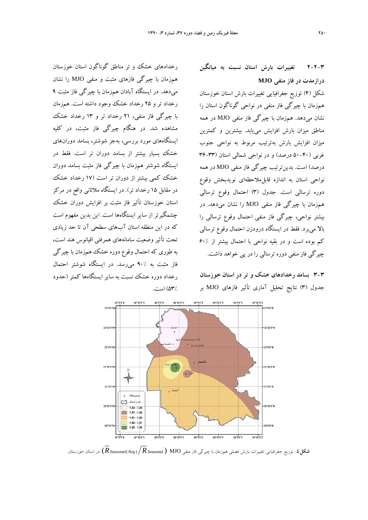رخدادهاي خشك و تر مناطق گوناگون استان خوزستان همزمان با چيرگي فازهاي مثبت و منفي MJO را نشان ميدهد. در ايستگاه آبادان همزمان با چيرگي فاز مثبت 9 رخداد تر و 25 رخداد خشك وجود داشته است. همزمان با چيرگي فاز منفي، 21 رخداد تر و 13 رخداد خشك مشاهده شد. در هنگام چيرگي فاز مثبت، در كليه ايستگاههاي مورد بررسي، بهجز شوشتر، بسامد دورانهاي خشك بسيار بيشتر از بسامد دوران تر است. فقط در ايستگاه شوشتر همزمان با چيرگي فاز مثبت بسامد دوران خشك كمي بيشتر از دوران تر است (17 رخداد خشك در مقابل 15 رخداد تر). در ايستگاه ملاثاني واقع در مركز استان خوزستان تأثير فاز مثبت بر افزايش دوران خشك چشمگيرتر از ساير ايستگاهها است. اين بدين مفهوم است كه در اين منطقه استان آبهاي سطحي آن تا حد زيادي تحت تأثير وضعيت سامانههاي همرفتي اقيانوس هند است، به طوري كه احتمال وقوع دوره خشك همزمان با چيرگي فاز مثبت به 90% ميرسد. در ايستگاه شوشتر احتمال رخداد دوره خشك نسبت به ساير ايستگاهها كمتر (حدود 53%) است. **2-2-3 تغييرات بارش استان نسبت به ميانگين درازمدت در فاز منفي MJO**

شكل (4) توزيع جغرافيايي تغييرات بارش استان خوزستان همزمان با چيرگي فاز منفي در نواحي گوناگون استان را نشان ميدهد. همزمان با چيرگي فاز منفي MJO در همه مناطق ميزان بارش افزايش مييابد. بيشترين و كمترين ميزان افزايش بارش بهترتيب مربوط به نواحي جنوب غربي (50-40 درصد) و در نواحي شمالي استان (36-33 درصد) است. بدينترتيب چيرگي فاز منفي MJO در همه نواحي استان به اندازه قابلملاحظهاي نويدبخش وقوع دوره ترسالي است. جدول (3) احتمال وقوع ترسالي همزمان با چيرگي فاز منفي MJO را نشان ميدهد. در بيشتر نواحي، چيرگي فاز منفي احتمال وقوع ترسالي را بالا ميبرد. فقط در ايستگاه درودزن احتمال وقوع ترسالي كم بوده است و در بقيه نواحي با احتمال بيشتر از 60% چيرگي فاز منفي دوره ترسالي را در پي خواهد داشت.

**3-3 بسامد رخدادهاي خشك و تر در استان خوزستان**  جدول (3) نتايج تحليل آماري تأثير فازهاي MJO بر



**شكل.4** توزيع جغرافيايي تغييرات بارش فصلي همزمان با چيرگي فاز منفي MJO ) *RSeasonal* ) *Neg*(*RSeasonal* (در استان خوزستان.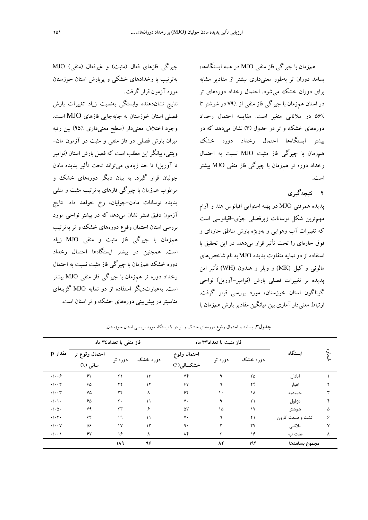همزمان با چيرگي فاز منفي MJO در همه ايستگاهها، بسامد دوران تر بهطور معنيداري بيشتر از مقادير مشابه براي دوران خشك ميشود. احتمال رخداد دورههاي تر در استان همزمان با چيرگي فاز منفي از 79% در شوشتر تا 56% در ملاثاني متغير است. مقايسه احتمال رخداد دورههاي خشك و تر در جدول (3) نشان ميدهد كه در بيشتر ايستگاهها احتمال رخداد دوره خشك همزمان با چيرگي فاز مثبت MJO نسبت به احتمال رخداد دوره تر همزمان با چيرگي فاز منفي MJO بيشتر است.

# **4 نتيجهگيري**

پديده همرفتي MJO در پهنه استوايي اقيانوس هند و آرام مهمترين شكل نوسانات زيرفصلي جوي-اقيانوسي است كه تغييرات آب وهوايي و بهويژه بارش مناطق حارهاي و فوق حارهاي را تحت تأثير قرار ميدهد. در اين تحقيق با استفاده از دو نمايه متفاوت پديده MJO به نام شاخصهاي مالوني و كيل (MK (و ويلر و هندون (WH (تأثير اين پديده بر تغييرات فصلي بارش (نوامبر-آوريل) نواحي گوناگون استان خوزستان، مورد بررسي قرار گرفت. ارتباط معنيدار آماري بين ميانگين مقاديربارش همزمان با

چيرگي فازهاي فعال (مثبت) و غيرفعال (منفي) MJO بهترتيب با رخدادهاي خشكي و پربارش استان خوزستان مورد آزمون قرار گرفت. نتايج نشاندهنده وابستگي بهنسبت زياد تغييرات بارش فصلي استان خوزستان به جابهجايي فازهاي MJO است. وجود اختلاف معنيدار (سطح معنيداري 95%) بين رتبه ميزان بارش فصلي در فاز منفي و مثبت در آزمون مان- ويتني، بيانگراين مطلب است كه فصل بارش استان (نوامبر تا آوريل) تا حد زيادي ميتواند تحت تأثير پديده مادن جوليان قرار گيرد. به بيان ديگر دورههاي خشك و

مرطوب همزمان با چيرگي فازهاي بهترتيب مثبت و منفي پديده نوسانات مادن-جوليان، رخ خواهد داد. نتايج آزمون دقيق فيشر نشان ميدهد كه در بيشتر نواحي مورد بررسي استان احتمال وقوع دورههاي خشك و تر بهترتيب همزمان با چيرگي فاز مثبت و منفي MJO زياد است. همچنين در بيشتر ايستگاهها احتمال رخداد دوره خشك همزمان با چيرگي فاز مثبت نسبت به احتمال رخداد دوره تر همزمان با چيرگي فاز منفي MJO بيشتر است. بهعبارتديگر استفاده از دو نمايه MJO گزينهاي مناسبتردر پيشبيني دورههاي خشك وتراستان است.

| مقدار p                         | فاز منفى با تعداد٣٤ ماه    |            |               |                           | فاز مثبت با تعداد٣٣ ماه |              |                  |              |
|---------------------------------|----------------------------|------------|---------------|---------------------------|-------------------------|--------------|------------------|--------------|
|                                 | احتمال وقوع تر<br>سالی (٪) | دوره تر    | دوره خشک      | احتمال وقوع<br>خشكسالي(٪) | دوره تر                 | دوره خشک     | استگاه           |              |
| $\cdot$   $\cdot$ 6             | ۶۲                         | ٢١         | $\mathcal{N}$ | ٧۴                        | ٩                       | ٢۵           | آبادان           |              |
| $\cdot/\cdot\cdot$ ۳            | ۶۵                         | $\tau\tau$ | $\mathcal{N}$ | $\gamma$                  | ٩                       | $\mathbf{r}$ | اهواز            |              |
| $\cdot/\cdot\cdot$ ۳            | ٧۵                         | ۲۴         | λ             | ۶۴                        | $\mathcal{L}$           | ١٨           | حميديه           |              |
| $\cdot/\cdot \setminus \cdot$   | ۶۵                         | ٢٠         | $\setminus$   | $V \cdot$                 | ٩                       | ٢١           | دزفول            | ۴            |
| $\cdot \mid \cdot \wedge \cdot$ | ٧٩                         | $\tau\tau$ | ۶             | ۵٣                        | ۱۵                      | $\gamma$     | شوشتر            | ۵            |
| $\cdot/\cdot7$ .                | ۶۳                         | ۱۹         | ۱۱            | γ.                        | ٩                       | ٢١           | کشت و صنعت کارون | ۶            |
| $\cdot/\cdot\cdot$ Y            | ۵۶                         | $\gamma$   | $\mathcal{L}$ | ٩.                        | ٣                       | ٢٧           | ملاثانى          | $\mathsf{v}$ |
| $\cdot/\cdot\cdot$              | $\gamma$                   | ۱۶         | λ             | $\Lambda$ ۴               | ٣                       | ۱۶           | هفت تيه          | ٨            |
|                                 |                            | ١٨٩        | ۹۶            |                           | $\lambda \tau$          | 194          | مجموع بسامدها    |              |

**جدول.3** بسامد <sup>و</sup> احتمال وقوع دورههاي خشك <sup>و</sup> تر در <sup>9</sup> ايستگاه مورد بررسي استان خوزستان.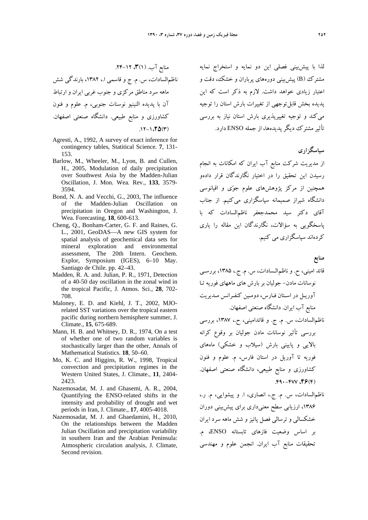منابع آب. (1)،**3** .24-12 ناظمالسادات، س. م. ج و قاسمي ا،. ،1382 بارندگي شش ماهه سرد مناطق مركزي و جنوب غربي ايران و ارتباط آن با پديده النينيو نوسنات جنوبي، م. علوم و فنون كشاورزي و منابع طبيعي. دانشگاه صنعتي اصفهان.  $.17-1.70(7)$ 

- Agresti, A., 1992, A survey of exact inference for contingency tables, Statitical Science. **7**, 131- 153.
- Barlow, M., Wheeler, M., Lyon, B. and Cullen, H., 2005, Modulation of daily precipitation over Southwest Asia by the Madden-Julian Oscillation, J. Mon. Wea. Rev., **133**, 3579- 3594.
- Bond, N. A. and Vecchi, G., 2003, The influence of the Madden-Julian Oscillation on precipitation in Oregon and Washington, J. Wea. Forecasting, **18**, 600-613.
- Cheng, Q., Bonham-Carter, G. F. and Raines, G. L., 2001, GeoDAS—A new GIS system for spatial analysis of geochemical data sets for mineral exploration and environmental assessment, The 20th Intern. Geochem. Explor, Symposium (IGES), 6–10 May. Santiago de Chile. pp. 42–43.
- Madden, R. A. and. Julian, P. R., 1971, Detection of a 40-50 day oscillation in the zonal wind in the tropical Pacific, J. Atmos. Sci., **28**, 702- 708.
- Maloney, E. D. and Kiehl, J. T., 2002, MJOrelated SST variations over the tropical eastern pacific during northern hemisphere summer, J. Climate., **15**, 675-689.
- Mann, H. B. and Whitney, D. R., 1974, On a test of whether one of two random variables is stochastically larger than the other, Annals of Mathematical Statistics. **18**, 50–60.
- Mo, K. C. and Higgins, R. W., 1998, Tropical convection and precipitation regimes in the Western United States, J. Climate., **11**, 2404- 2423.
- Nazemosadat, M. J. and Ghasemi, A. R., 2004, Quantifying the ENSO-related shifts in the intensity and probability of drought and wet periods in Iran, J. Climate., **17**, 4005-4018.
- Nazemosadat, M. J. and Ghaedamini, H., 2010, On the relationships between the Madden Julian Oscillation and precipitation variability in southern Iran and the Arabian Peninsula: Atmospheric circulation analysis, J. Climate, Second revision.

لذا با پيشبيني فصلي اين دو نمايه و استخراج نمايه مشترك (B (پيشبيني دورههاي پرباران و خشك، دقت و اعتبار زيادي خواهد داشت. لازم به ذكر است كه اين پديده بخش قابلتوجهي از تغييرات بارش استان را توجيه ميكند و توجيه تغييرپذيري بارش استان نياز به بررسي تأثير مشترك ديگرپديدهها، از جمله ENSO دارد.

### **سپاسگزاري**

از مديريت شركت منابع آب ايران كه امكانات به انجام رسيدن اين تحقيق را در اختيار نگارندگان قرار دادهو همچنين از مركز پژوهشهاي علوم جوي و اقيانوسي دانشگاه شيراز صميمانه سپاسگزاري ميكنيم. از جناب آقاي دكتر سيد محمدجعفر ناظمالسادات كه با پاسخگويي به سؤالات، نگارندگان اين مقاله را ياري كردهاند سپاسگزاري مي كنيم.

**منابع** 

- قائد اميني، ح. و ناظمالـسادات، س. م. ج،. ،1385 بررسـي نوسانات مادن- جوليان بر بارش هاي ما ههاي فوريه تـا آوريـل در اسـتان فـارس، دومـين كنفـرانس مـديريت منابع آب ايران. دانشگاه صنعتي اصفهان.
- ناظمالسادات، س. م. ج. و قائداميني، ح،. ،1387 بررسي بررسي تأثير نوسانات مادن جوليان بر وقوع كرانه بالايي و پاييني بارش (سيلاب و خشكي) ماههاي فوريه تا آوريل در استان فارس، م. علوم و فنون كشاورزي و منابع طبيعي، دانشگاه صنعتي اصفهان. .490-477 ،**46**(4)
- ناظمالسادات، س. م. ج،. انصاري، ا. و پيشوايي، م. ر،. ،1386 ارزيابي سطح معنيداري براي پيشبيني دوران خشكسالي و ترسالي فصل پائيز و شش ماهه سرد ايران بر اساس وضعيت فازهاي تابستانه ENSO، م. تحقيقات منابع آب ايران. انجمن علوم و مهندسي